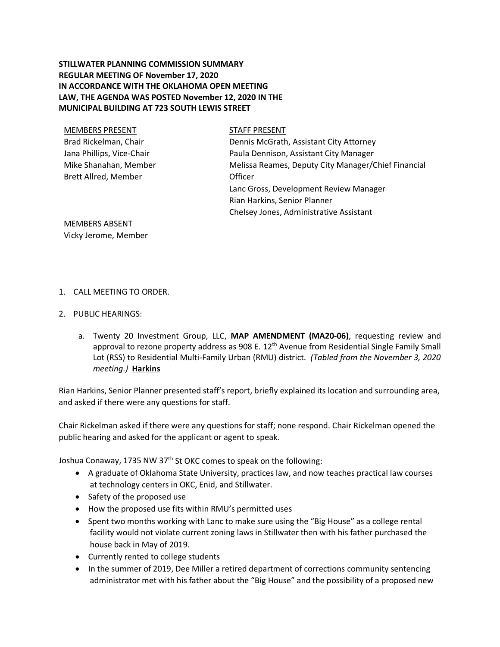# **STILLWATER PLANNING COMMISSION SUMMARY REGULAR MEETING OF November 17, 2020 IN ACCORDANCE WITH THE OKLAHOMA OPEN MEETING LAW, THE AGENDA WAS POSTED November 12, 2020 IN THE MUNICIPAL BUILDING AT 723 SOUTH LEWIS STREET**

| <b>MEMBERS PRESENT</b>    | <b>STAFF PRESENT</b>                                |
|---------------------------|-----------------------------------------------------|
| Brad Rickelman, Chair     | Dennis McGrath, Assistant City Attorney             |
| Jana Phillips, Vice-Chair | Paula Dennison, Assistant City Manager              |
| Mike Shanahan, Member     | Melissa Reames, Deputy City Manager/Chief Financial |
| Brett Allred, Member      | Officer                                             |
|                           | Lanc Gross, Development Review Manager              |
|                           | Rian Harkins, Senior Planner                        |
|                           | Chelsey Jones, Administrative Assistant             |
|                           |                                                     |

MEMBERS ABSENT Vicky Jerome, Member

## 1. CALL MEETING TO ORDER.

- 2. PUBLIC HEARINGS:
	- a. Twenty 20 Investment Group, LLC, **MAP AMENDMENT (MA20-06)**, requesting review and approval to rezone property address as 908 E. 12<sup>th</sup> Avenue from Residential Single Family Small Lot (RSS) to Residential Multi-Family Urban (RMU) district. *(Tabled from the November 3, 2020 meeting.)* **Harkins**

Rian Harkins, Senior Planner presented staff's report, briefly explained its location and surrounding area, and asked if there were any questions for staff.

Chair Rickelman asked if there were any questions for staff; none respond. Chair Rickelman opened the public hearing and asked for the applicant or agent to speak.

Joshua Conaway, 1735 NW 37<sup>th</sup> St OKC comes to speak on the following:

- A graduate of Oklahoma State University, practices law, and now teaches practical law courses at technology centers in OKC, Enid, and Stillwater.
- Safety of the proposed use
- How the proposed use fits within RMU's permitted uses
- Spent two months working with Lanc to make sure using the "Big House" as a college rental facility would not violate current zoning laws in Stillwater then with his father purchased the house back in May of 2019.
- Currently rented to college students
- In the summer of 2019, Dee Miller a retired department of corrections community sentencing administrator met with his father about the "Big House" and the possibility of a proposed new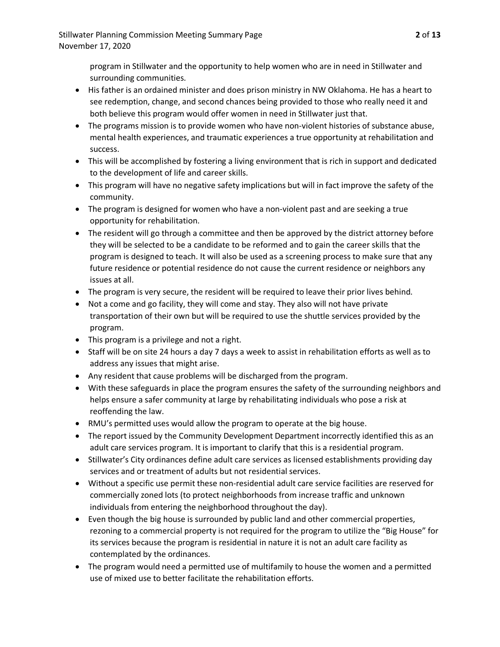program in Stillwater and the opportunity to help women who are in need in Stillwater and surrounding communities.

- His father is an ordained minister and does prison ministry in NW Oklahoma. He has a heart to see redemption, change, and second chances being provided to those who really need it and both believe this program would offer women in need in Stillwater just that.
- The programs mission is to provide women who have non-violent histories of substance abuse, mental health experiences, and traumatic experiences a true opportunity at rehabilitation and success.
- This will be accomplished by fostering a living environment that is rich in support and dedicated to the development of life and career skills.
- This program will have no negative safety implications but will in fact improve the safety of the community.
- The program is designed for women who have a non-violent past and are seeking a true opportunity for rehabilitation.
- The resident will go through a committee and then be approved by the district attorney before they will be selected to be a candidate to be reformed and to gain the career skills that the program is designed to teach. It will also be used as a screening process to make sure that any future residence or potential residence do not cause the current residence or neighbors any issues at all.
- The program is very secure, the resident will be required to leave their prior lives behind.
- Not a come and go facility, they will come and stay. They also will not have private transportation of their own but will be required to use the shuttle services provided by the program.
- This program is a privilege and not a right.
- Staff will be on site 24 hours a day 7 days a week to assist in rehabilitation efforts as well as to address any issues that might arise.
- Any resident that cause problems will be discharged from the program.
- With these safeguards in place the program ensures the safety of the surrounding neighbors and helps ensure a safer community at large by rehabilitating individuals who pose a risk at reoffending the law.
- RMU's permitted uses would allow the program to operate at the big house.
- The report issued by the Community Development Department incorrectly identified this as an adult care services program. It is important to clarify that this is a residential program.
- Stillwater's City ordinances define adult care services as licensed establishments providing day services and or treatment of adults but not residential services.
- Without a specific use permit these non-residential adult care service facilities are reserved for commercially zoned lots (to protect neighborhoods from increase traffic and unknown individuals from entering the neighborhood throughout the day).
- Even though the big house is surrounded by public land and other commercial properties, rezoning to a commercial property is not required for the program to utilize the "Big House" for its services because the program is residential in nature it is not an adult care facility as contemplated by the ordinances.
- The program would need a permitted use of multifamily to house the women and a permitted use of mixed use to better facilitate the rehabilitation efforts.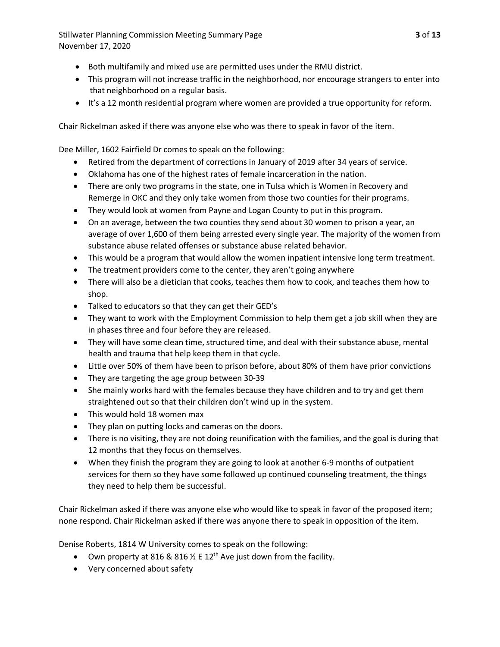Stillwater Planning Commission Meeting Summary Page **3** of **13** November 17, 2020

- Both multifamily and mixed use are permitted uses under the RMU district.
- This program will not increase traffic in the neighborhood, nor encourage strangers to enter into that neighborhood on a regular basis.
- It's a 12 month residential program where women are provided a true opportunity for reform.

Chair Rickelman asked if there was anyone else who was there to speak in favor of the item.

Dee Miller, 1602 Fairfield Dr comes to speak on the following:

- Retired from the department of corrections in January of 2019 after 34 years of service.
- Oklahoma has one of the highest rates of female incarceration in the nation.
- There are only two programs in the state, one in Tulsa which is Women in Recovery and Remerge in OKC and they only take women from those two counties for their programs.
- They would look at women from Payne and Logan County to put in this program.
- On an average, between the two counties they send about 30 women to prison a year, an average of over 1,600 of them being arrested every single year. The majority of the women from substance abuse related offenses or substance abuse related behavior.
- This would be a program that would allow the women inpatient intensive long term treatment.
- The treatment providers come to the center, they aren't going anywhere
- There will also be a dietician that cooks, teaches them how to cook, and teaches them how to shop.
- Talked to educators so that they can get their GED's
- They want to work with the Employment Commission to help them get a job skill when they are in phases three and four before they are released.
- They will have some clean time, structured time, and deal with their substance abuse, mental health and trauma that help keep them in that cycle.
- Little over 50% of them have been to prison before, about 80% of them have prior convictions
- They are targeting the age group between 30-39
- She mainly works hard with the females because they have children and to try and get them straightened out so that their children don't wind up in the system.
- This would hold 18 women max
- They plan on putting locks and cameras on the doors.
- There is no visiting, they are not doing reunification with the families, and the goal is during that 12 months that they focus on themselves.
- When they finish the program they are going to look at another 6-9 months of outpatient services for them so they have some followed up continued counseling treatment, the things they need to help them be successful.

Chair Rickelman asked if there was anyone else who would like to speak in favor of the proposed item; none respond. Chair Rickelman asked if there was anyone there to speak in opposition of the item.

Denise Roberts, 1814 W University comes to speak on the following:

- Own property at 816 & 816  $\frac{1}{2}$  E 12<sup>th</sup> Ave just down from the facility.
- Very concerned about safety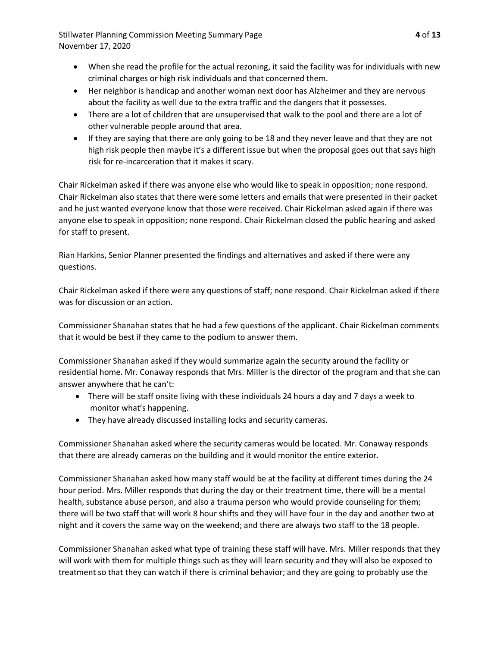Stillwater Planning Commission Meeting Summary Page **4** of **13** November 17, 2020

- When she read the profile for the actual rezoning, it said the facility was for individuals with new criminal charges or high risk individuals and that concerned them.
- Her neighbor is handicap and another woman next door has Alzheimer and they are nervous about the facility as well due to the extra traffic and the dangers that it possesses.
- There are a lot of children that are unsupervised that walk to the pool and there are a lot of other vulnerable people around that area.
- If they are saying that there are only going to be 18 and they never leave and that they are not high risk people then maybe it's a different issue but when the proposal goes out that says high risk for re-incarceration that it makes it scary.

Chair Rickelman asked if there was anyone else who would like to speak in opposition; none respond. Chair Rickelman also states that there were some letters and emails that were presented in their packet and he just wanted everyone know that those were received. Chair Rickelman asked again if there was anyone else to speak in opposition; none respond. Chair Rickelman closed the public hearing and asked for staff to present.

Rian Harkins, Senior Planner presented the findings and alternatives and asked if there were any questions.

Chair Rickelman asked if there were any questions of staff; none respond. Chair Rickelman asked if there was for discussion or an action.

Commissioner Shanahan states that he had a few questions of the applicant. Chair Rickelman comments that it would be best if they came to the podium to answer them.

Commissioner Shanahan asked if they would summarize again the security around the facility or residential home. Mr. Conaway responds that Mrs. Miller is the director of the program and that she can answer anywhere that he can't:

- There will be staff onsite living with these individuals 24 hours a day and 7 days a week to monitor what's happening.
- They have already discussed installing locks and security cameras.

Commissioner Shanahan asked where the security cameras would be located. Mr. Conaway responds that there are already cameras on the building and it would monitor the entire exterior.

Commissioner Shanahan asked how many staff would be at the facility at different times during the 24 hour period. Mrs. Miller responds that during the day or their treatment time, there will be a mental health, substance abuse person, and also a trauma person who would provide counseling for them; there will be two staff that will work 8 hour shifts and they will have four in the day and another two at night and it covers the same way on the weekend; and there are always two staff to the 18 people.

Commissioner Shanahan asked what type of training these staff will have. Mrs. Miller responds that they will work with them for multiple things such as they will learn security and they will also be exposed to treatment so that they can watch if there is criminal behavior; and they are going to probably use the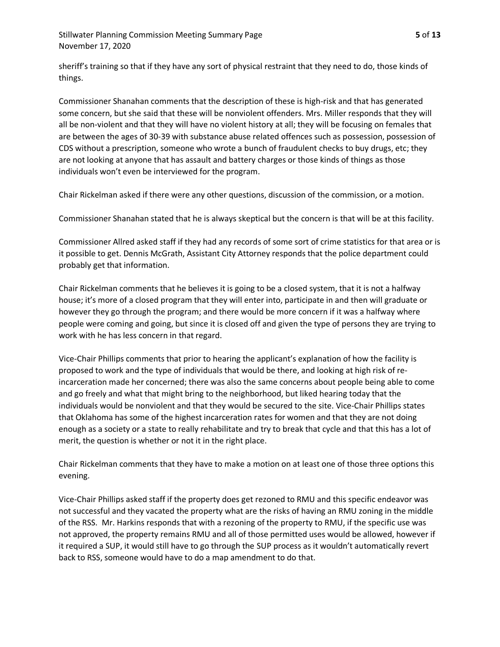Stillwater Planning Commission Meeting Summary Page **5** of **13** November 17, 2020

sheriff's training so that if they have any sort of physical restraint that they need to do, those kinds of things.

Commissioner Shanahan comments that the description of these is high-risk and that has generated some concern, but she said that these will be nonviolent offenders. Mrs. Miller responds that they will all be non-violent and that they will have no violent history at all; they will be focusing on females that are between the ages of 30-39 with substance abuse related offences such as possession, possession of CDS without a prescription, someone who wrote a bunch of fraudulent checks to buy drugs, etc; they are not looking at anyone that has assault and battery charges or those kinds of things as those individuals won't even be interviewed for the program.

Chair Rickelman asked if there were any other questions, discussion of the commission, or a motion.

Commissioner Shanahan stated that he is always skeptical but the concern is that will be at this facility.

Commissioner Allred asked staff if they had any records of some sort of crime statistics for that area or is it possible to get. Dennis McGrath, Assistant City Attorney responds that the police department could probably get that information.

Chair Rickelman comments that he believes it is going to be a closed system, that it is not a halfway house; it's more of a closed program that they will enter into, participate in and then will graduate or however they go through the program; and there would be more concern if it was a halfway where people were coming and going, but since it is closed off and given the type of persons they are trying to work with he has less concern in that regard.

Vice-Chair Phillips comments that prior to hearing the applicant's explanation of how the facility is proposed to work and the type of individuals that would be there, and looking at high risk of reincarceration made her concerned; there was also the same concerns about people being able to come and go freely and what that might bring to the neighborhood, but liked hearing today that the individuals would be nonviolent and that they would be secured to the site. Vice-Chair Phillips states that Oklahoma has some of the highest incarceration rates for women and that they are not doing enough as a society or a state to really rehabilitate and try to break that cycle and that this has a lot of merit, the question is whether or not it in the right place.

Chair Rickelman comments that they have to make a motion on at least one of those three options this evening.

Vice-Chair Phillips asked staff if the property does get rezoned to RMU and this specific endeavor was not successful and they vacated the property what are the risks of having an RMU zoning in the middle of the RSS. Mr. Harkins responds that with a rezoning of the property to RMU, if the specific use was not approved, the property remains RMU and all of those permitted uses would be allowed, however if it required a SUP, it would still have to go through the SUP process as it wouldn't automatically revert back to RSS, someone would have to do a map amendment to do that.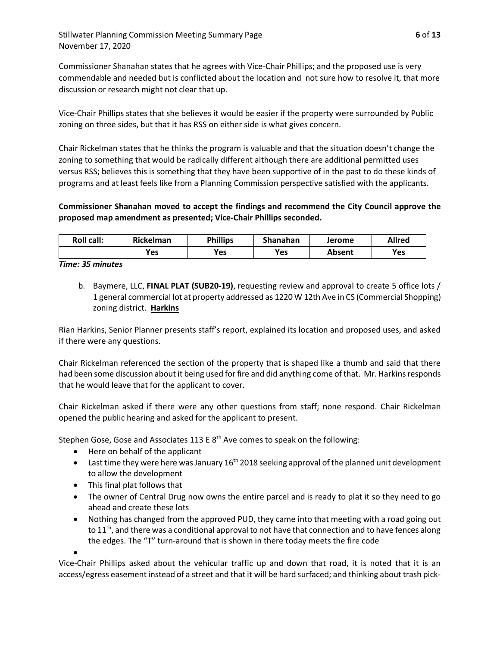Commissioner Shanahan states that he agrees with Vice-Chair Phillips; and the proposed use is very commendable and needed but is conflicted about the location and not sure how to resolve it, that more discussion or research might not clear that up.

Vice-Chair Phillips states that she believes it would be easier if the property were surrounded by Public zoning on three sides, but that it has RSS on either side is what gives concern.

Chair Rickelman states that he thinks the program is valuable and that the situation doesn't change the zoning to something that would be radically different although there are additional permitted uses versus RSS; believes this is something that they have been supportive of in the past to do these kinds of programs and at least feels like from a Planning Commission perspective satisfied with the applicants.

# **Commissioner Shanahan moved to accept the findings and recommend the City Council approve the proposed map amendment as presented; Vice-Chair Phillips seconded.**

| <b>Roll call:</b> | <b>Rickelman</b> | <b>Phillips</b> | Shanahan | Jerome | <b>Allred</b> |
|-------------------|------------------|-----------------|----------|--------|---------------|
|                   | Yes              | <b>Yes</b>      | Yes      | Absent | Yes           |

## *Time: 35 minutes*

b. Baymere, LLC, **FINAL PLAT (SUB20-19)**, requesting review and approval to create 5 office lots / 1 general commercial lot at property addressed as 1220 W 12th Ave in CS (Commercial Shopping) zoning district. **Harkins**

Rian Harkins, Senior Planner presents staff's report, explained its location and proposed uses, and asked if there were any questions.

Chair Rickelman referenced the section of the property that is shaped like a thumb and said that there had been some discussion about it being used for fire and did anything come of that. Mr. Harkins responds that he would leave that for the applicant to cover.

Chair Rickelman asked if there were any other questions from staff; none respond. Chair Rickelman opened the public hearing and asked for the applicant to present.

Stephen Gose, Gose and Associates 113 E  $8<sup>th</sup>$  Ave comes to speak on the following:

- Here on behalf of the applicant
- Last time they were here was January  $16<sup>th</sup>$  2018 seeking approval of the planned unit development to allow the development
- This final plat follows that
- The owner of Central Drug now owns the entire parcel and is ready to plat it so they need to go ahead and create these lots
- Nothing has changed from the approved PUD, they came into that meeting with a road going out to  $11<sup>th</sup>$ , and there was a conditional approval to not have that connection and to have fences along the edges. The "T" turn-around that is shown in there today meets the fire code

•

Vice-Chair Phillips asked about the vehicular traffic up and down that road, it is noted that it is an access/egress easement instead of a street and that it will be hard surfaced; and thinking about trash pick-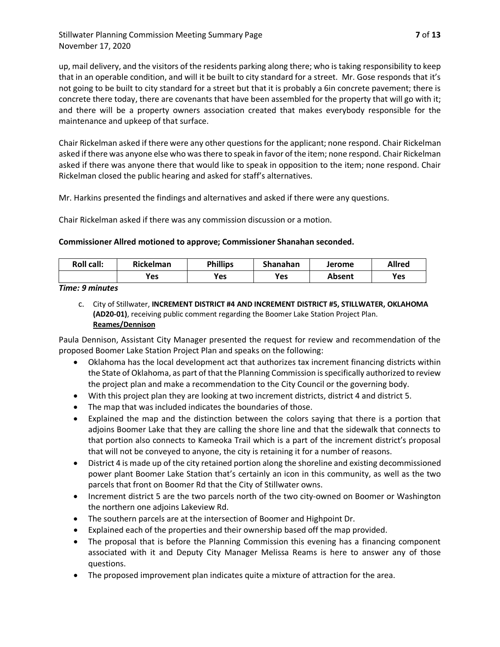# Stillwater Planning Commission Meeting Summary Page **7** of **13** November 17, 2020

up, mail delivery, and the visitors of the residents parking along there; who is taking responsibility to keep that in an operable condition, and will it be built to city standard for a street. Mr. Gose responds that it's not going to be built to city standard for a street but that it is probably a 6in concrete pavement; there is concrete there today, there are covenants that have been assembled for the property that will go with it; and there will be a property owners association created that makes everybody responsible for the maintenance and upkeep of that surface.

Chair Rickelman asked if there were any other questions for the applicant; none respond. Chair Rickelman asked if there was anyone else who was there to speak in favor of the item; none respond. Chair Rickelman asked if there was anyone there that would like to speak in opposition to the item; none respond. Chair Rickelman closed the public hearing and asked for staff's alternatives.

Mr. Harkins presented the findings and alternatives and asked if there were any questions.

Chair Rickelman asked if there was any commission discussion or a motion.

## **Commissioner Allred motioned to approve; Commissioner Shanahan seconded.**

| <b>Roll call:</b> | <b>Rickelman</b> | <b>Phillips</b> | Shanahan | Jerome | <b>Allred</b> |
|-------------------|------------------|-----------------|----------|--------|---------------|
|                   | Yes              | Yes             | Yes      | Absent | Yes           |

### *Time: 9 minutes*

c. City of Stillwater, **INCREMENT DISTRICT #4 AND INCREMENT DISTRICT #5, STILLWATER, OKLAHOMA (AD20-01)**, receiving public comment regarding the Boomer Lake Station Project Plan. **Reames/Dennison**

Paula Dennison, Assistant City Manager presented the request for review and recommendation of the proposed Boomer Lake Station Project Plan and speaks on the following:

- Oklahoma has the local development act that authorizes tax increment financing districts within the State of Oklahoma, as part of that the Planning Commission is specifically authorized to review the project plan and make a recommendation to the City Council or the governing body.
- With this project plan they are looking at two increment districts, district 4 and district 5.
- The map that was included indicates the boundaries of those.
- Explained the map and the distinction between the colors saying that there is a portion that adjoins Boomer Lake that they are calling the shore line and that the sidewalk that connects to that portion also connects to Kameoka Trail which is a part of the increment district's proposal that will not be conveyed to anyone, the city is retaining it for a number of reasons.
- District 4 is made up of the city retained portion along the shoreline and existing decommissioned power plant Boomer Lake Station that's certainly an icon in this community, as well as the two parcels that front on Boomer Rd that the City of Stillwater owns.
- Increment district 5 are the two parcels north of the two city-owned on Boomer or Washington the northern one adjoins Lakeview Rd.
- The southern parcels are at the intersection of Boomer and Highpoint Dr.
- Explained each of the properties and their ownership based off the map provided.
- The proposal that is before the Planning Commission this evening has a financing component associated with it and Deputy City Manager Melissa Reams is here to answer any of those questions.
- The proposed improvement plan indicates quite a mixture of attraction for the area.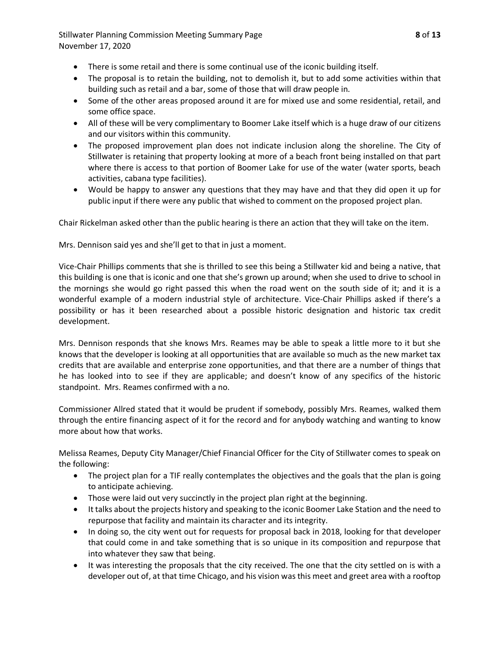Stillwater Planning Commission Meeting Summary Page **8** of **13** November 17, 2020

- There is some retail and there is some continual use of the iconic building itself.
- The proposal is to retain the building, not to demolish it, but to add some activities within that building such as retail and a bar, some of those that will draw people in.
- Some of the other areas proposed around it are for mixed use and some residential, retail, and some office space.
- All of these will be very complimentary to Boomer Lake itself which is a huge draw of our citizens and our visitors within this community.
- The proposed improvement plan does not indicate inclusion along the shoreline. The City of Stillwater is retaining that property looking at more of a beach front being installed on that part where there is access to that portion of Boomer Lake for use of the water (water sports, beach activities, cabana type facilities).
- Would be happy to answer any questions that they may have and that they did open it up for public input if there were any public that wished to comment on the proposed project plan.

Chair Rickelman asked other than the public hearing is there an action that they will take on the item.

Mrs. Dennison said yes and she'll get to that in just a moment.

Vice-Chair Phillips comments that she is thrilled to see this being a Stillwater kid and being a native, that this building is one that is iconic and one that she's grown up around; when she used to drive to school in the mornings she would go right passed this when the road went on the south side of it; and it is a wonderful example of a modern industrial style of architecture. Vice-Chair Phillips asked if there's a possibility or has it been researched about a possible historic designation and historic tax credit development.

Mrs. Dennison responds that she knows Mrs. Reames may be able to speak a little more to it but she knows that the developer is looking at all opportunities that are available so much as the new market tax credits that are available and enterprise zone opportunities, and that there are a number of things that he has looked into to see if they are applicable; and doesn't know of any specifics of the historic standpoint. Mrs. Reames confirmed with a no.

Commissioner Allred stated that it would be prudent if somebody, possibly Mrs. Reames, walked them through the entire financing aspect of it for the record and for anybody watching and wanting to know more about how that works.

Melissa Reames, Deputy City Manager/Chief Financial Officer for the City of Stillwater comes to speak on the following:

- The project plan for a TIF really contemplates the objectives and the goals that the plan is going to anticipate achieving.
- Those were laid out very succinctly in the project plan right at the beginning.
- It talks about the projects history and speaking to the iconic Boomer Lake Station and the need to repurpose that facility and maintain its character and its integrity.
- In doing so, the city went out for requests for proposal back in 2018, looking for that developer that could come in and take something that is so unique in its composition and repurpose that into whatever they saw that being.
- It was interesting the proposals that the city received. The one that the city settled on is with a developer out of, at that time Chicago, and his vision was this meet and greet area with a rooftop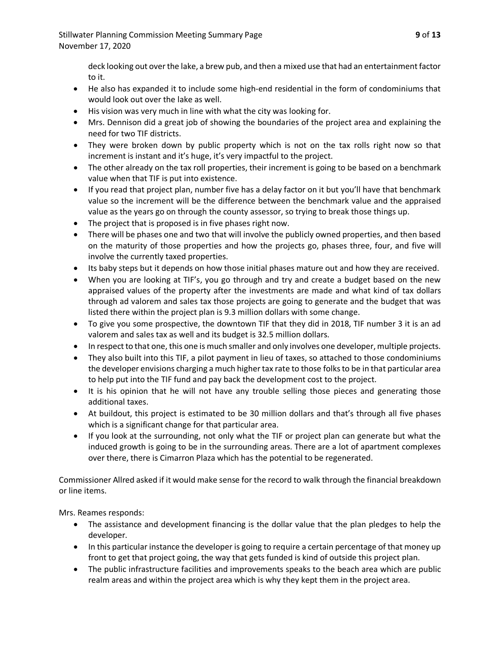deck looking out over the lake, a brew pub, and then a mixed use that had an entertainment factor to it.

- He also has expanded it to include some high-end residential in the form of condominiums that would look out over the lake as well.
- His vision was very much in line with what the city was looking for.
- Mrs. Dennison did a great job of showing the boundaries of the project area and explaining the need for two TIF districts.
- They were broken down by public property which is not on the tax rolls right now so that increment is instant and it's huge, it's very impactful to the project.
- The other already on the tax roll properties, their increment is going to be based on a benchmark value when that TIF is put into existence.
- If you read that project plan, number five has a delay factor on it but you'll have that benchmark value so the increment will be the difference between the benchmark value and the appraised value as the years go on through the county assessor, so trying to break those things up.
- The project that is proposed is in five phases right now.
- There will be phases one and two that will involve the publicly owned properties, and then based on the maturity of those properties and how the projects go, phases three, four, and five will involve the currently taxed properties.
- Its baby steps but it depends on how those initial phases mature out and how they are received.
- When you are looking at TIF's, you go through and try and create a budget based on the new appraised values of the property after the investments are made and what kind of tax dollars through ad valorem and sales tax those projects are going to generate and the budget that was listed there within the project plan is 9.3 million dollars with some change.
- To give you some prospective, the downtown TIF that they did in 2018, TIF number 3 it is an ad valorem and sales tax as well and its budget is 32.5 million dollars.
- In respect to that one, this one is much smaller and only involves one developer, multiple projects.
- They also built into this TIF, a pilot payment in lieu of taxes, so attached to those condominiums the developer envisions charging a much higher tax rate to those folks to be in that particular area to help put into the TIF fund and pay back the development cost to the project.
- It is his opinion that he will not have any trouble selling those pieces and generating those additional taxes.
- At buildout, this project is estimated to be 30 million dollars and that's through all five phases which is a significant change for that particular area.
- If you look at the surrounding, not only what the TIF or project plan can generate but what the induced growth is going to be in the surrounding areas. There are a lot of apartment complexes over there, there is Cimarron Plaza which has the potential to be regenerated.

Commissioner Allred asked if it would make sense for the record to walk through the financial breakdown or line items.

Mrs. Reames responds:

- The assistance and development financing is the dollar value that the plan pledges to help the developer.
- In this particular instance the developer is going to require a certain percentage of that money up front to get that project going, the way that gets funded is kind of outside this project plan.
- The public infrastructure facilities and improvements speaks to the beach area which are public realm areas and within the project area which is why they kept them in the project area.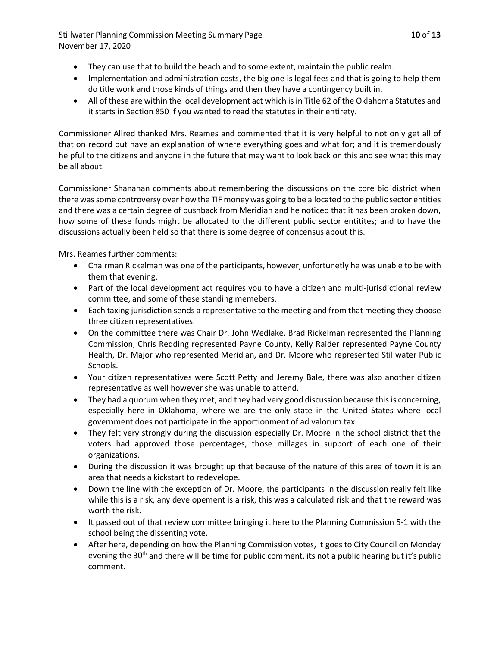Stillwater Planning Commission Meeting Summary Page **10** of **13** November 17, 2020

- They can use that to build the beach and to some extent, maintain the public realm.
- Implementation and administration costs, the big one is legal fees and that is going to help them do title work and those kinds of things and then they have a contingency built in.
- All of these are within the local development act which is in Title 62 of the Oklahoma Statutes and it starts in Section 850 if you wanted to read the statutes in their entirety.

Commissioner Allred thanked Mrs. Reames and commented that it is very helpful to not only get all of that on record but have an explanation of where everything goes and what for; and it is tremendously helpful to the citizens and anyone in the future that may want to look back on this and see what this may be all about.

Commissioner Shanahan comments about remembering the discussions on the core bid district when there was some controversy over how the TIF money was going to be allocated to the public sector entities and there was a certain degree of pushback from Meridian and he noticed that it has been broken down, how some of these funds might be allocated to the different public sector entitites; and to have the discussions actually been held so that there is some degree of concensus about this.

Mrs. Reames further comments:

- Chairman Rickelman was one of the participants, however, unfortunetly he was unable to be with them that evening.
- Part of the local development act requires you to have a citizen and multi-jurisdictional review committee, and some of these standing memebers.
- Each taxing jurisdiction sends a representative to the meeting and from that meeting they choose three citizen representatives.
- On the committee there was Chair Dr. John Wedlake, Brad Rickelman represented the Planning Commission, Chris Redding represented Payne County, Kelly Raider represented Payne County Health, Dr. Major who represented Meridian, and Dr. Moore who represented Stillwater Public Schools.
- Your citizen representatives were Scott Petty and Jeremy Bale, there was also another citizen representative as well however she was unable to attend.
- They had a quorum when they met, and they had very good discussion because this is concerning, especially here in Oklahoma, where we are the only state in the United States where local government does not participate in the apportionment of ad valorum tax.
- They felt very strongly during the discussion especially Dr. Moore in the school district that the voters had approved those percentages, those millages in support of each one of their organizations.
- During the discussion it was brought up that because of the nature of this area of town it is an area that needs a kickstart to redevelope.
- Down the line with the exception of Dr. Moore, the participants in the discussion really felt like while this is a risk, any developement is a risk, this was a calculated risk and that the reward was worth the risk.
- It passed out of that review committee bringing it here to the Planning Commission 5-1 with the school being the dissenting vote.
- After here, depending on how the Planning Commission votes, it goes to City Council on Monday evening the 30<sup>th</sup> and there will be time for public comment, its not a public hearing but it's public comment.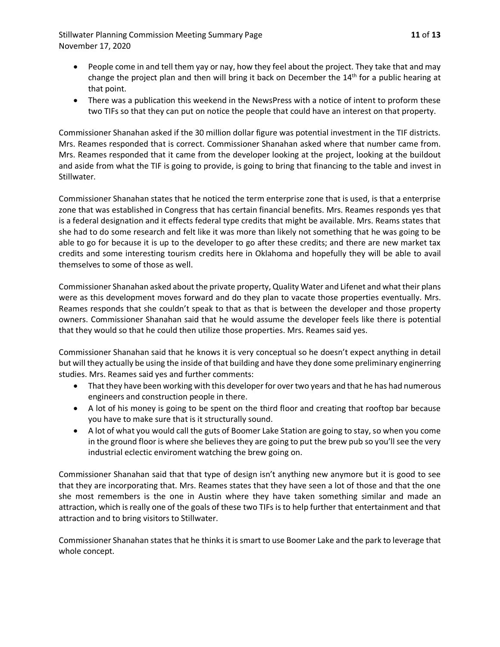Stillwater Planning Commission Meeting Summary Page **11** of **13** November 17, 2020

- People come in and tell them yay or nay, how they feel about the project. They take that and may change the project plan and then will bring it back on December the 14<sup>th</sup> for a public hearing at that point.
- There was a publication this weekend in the NewsPress with a notice of intent to proform these two TIFs so that they can put on notice the people that could have an interest on that property.

Commissioner Shanahan asked if the 30 million dollar figure was potential investment in the TIF districts. Mrs. Reames responded that is correct. Commissioner Shanahan asked where that number came from. Mrs. Reames responded that it came from the developer looking at the project, looking at the buildout and aside from what the TIF is going to provide, is going to bring that financing to the table and invest in Stillwater.

Commissioner Shanahan states that he noticed the term enterprise zone that is used, is that a enterprise zone that was established in Congress that has certain financial benefits. Mrs. Reames responds yes that is a federal designation and it effects federal type credits that might be available. Mrs. Reams states that she had to do some research and felt like it was more than likely not something that he was going to be able to go for because it is up to the developer to go after these credits; and there are new market tax credits and some interesting tourism credits here in Oklahoma and hopefully they will be able to avail themselves to some of those as well.

Commissioner Shanahan asked about the private property, Quality Water and Lifenet and what their plans were as this development moves forward and do they plan to vacate those properties eventually. Mrs. Reames responds that she couldn't speak to that as that is between the developer and those property owners. Commissioner Shanahan said that he would assume the developer feels like there is potential that they would so that he could then utilize those properties. Mrs. Reames said yes.

Commissioner Shanahan said that he knows it is very conceptual so he doesn't expect anything in detail but will they actually be using the inside of that building and have they done some preliminary enginerring studies. Mrs. Reames said yes and further comments:

- That they have been working with this developer for over two years and that he has had numerous engineers and construction people in there.
- A lot of his money is going to be spent on the third floor and creating that rooftop bar because you have to make sure that is it structurally sound.
- A lot of what you would call the guts of Boomer Lake Station are going to stay, so when you come in the ground floor is where she believes they are going to put the brew pub so you'll see the very industrial eclectic enviroment watching the brew going on.

Commissioner Shanahan said that that type of design isn't anything new anymore but it is good to see that they are incorporating that. Mrs. Reames states that they have seen a lot of those and that the one she most remembers is the one in Austin where they have taken something similar and made an attraction, which is really one of the goals of these two TIFs is to help further that entertainment and that attraction and to bring visitors to Stillwater.

Commissioner Shanahan states that he thinks it is smart to use Boomer Lake and the park to leverage that whole concept.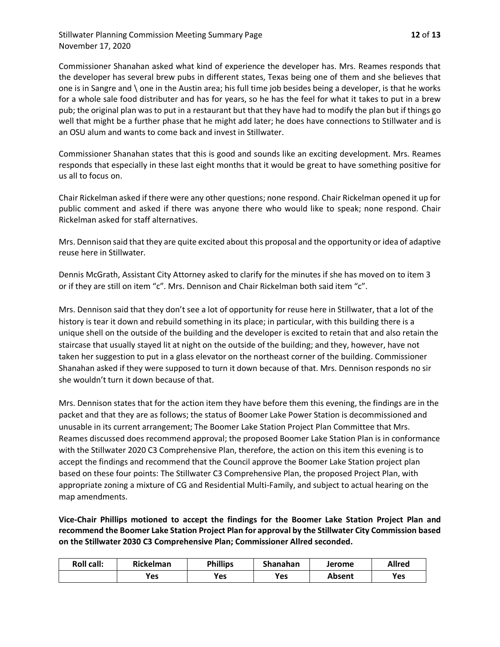Stillwater Planning Commission Meeting Summary Page **12** of **13** November 17, 2020

Commissioner Shanahan asked what kind of experience the developer has. Mrs. Reames responds that the developer has several brew pubs in different states, Texas being one of them and she believes that one is in Sangre and \ one in the Austin area; his full time job besides being a developer, is that he works for a whole sale food distributer and has for years, so he has the feel for what it takes to put in a brew pub; the original plan was to put in a restaurant but that they have had to modify the plan but if things go well that might be a further phase that he might add later; he does have connections to Stillwater and is an OSU alum and wants to come back and invest in Stillwater.

Commissioner Shanahan states that this is good and sounds like an exciting development. Mrs. Reames responds that especially in these last eight months that it would be great to have something positive for us all to focus on.

Chair Rickelman asked if there were any other questions; none respond. Chair Rickelman opened it up for public comment and asked if there was anyone there who would like to speak; none respond. Chair Rickelman asked for staff alternatives.

Mrs. Dennison said that they are quite excited about this proposal and the opportunity or idea of adaptive reuse here in Stillwater.

Dennis McGrath, Assistant City Attorney asked to clarify for the minutes if she has moved on to item 3 or if they are still on item "c". Mrs. Dennison and Chair Rickelman both said item "c".

Mrs. Dennison said that they don't see a lot of opportunity for reuse here in Stillwater, that a lot of the history is tear it down and rebuild something in its place; in particular, with this building there is a unique shell on the outside of the building and the developer is excited to retain that and also retain the staircase that usually stayed lit at night on the outside of the building; and they, however, have not taken her suggestion to put in a glass elevator on the northeast corner of the building. Commissioner Shanahan asked if they were supposed to turn it down because of that. Mrs. Dennison responds no sir she wouldn't turn it down because of that.

Mrs. Dennison states that for the action item they have before them this evening, the findings are in the packet and that they are as follows; the status of Boomer Lake Power Station is decommissioned and unusable in its current arrangement; The Boomer Lake Station Project Plan Committee that Mrs. Reames discussed does recommend approval; the proposed Boomer Lake Station Plan is in conformance with the Stillwater 2020 C3 Comprehensive Plan, therefore, the action on this item this evening is to accept the findings and recommend that the Council approve the Boomer Lake Station project plan based on these four points: The Stillwater C3 Comprehensive Plan, the proposed Project Plan, with appropriate zoning a mixture of CG and Residential Multi-Family, and subject to actual hearing on the map amendments.

**Vice-Chair Phillips motioned to accept the findings for the Boomer Lake Station Project Plan and recommend the Boomer Lake Station Project Plan for approval by the Stillwater City Commission based on the Stillwater 2030 C3 Comprehensive Plan; Commissioner Allred seconded.**

| <b>Roll call:</b> | <b>Rickelman</b> | <b>Phillips</b> | Shanahan | Jerome | Allred |
|-------------------|------------------|-----------------|----------|--------|--------|
|                   | Yes              | <b>Yes</b>      | Yes      | Absent | Yes    |